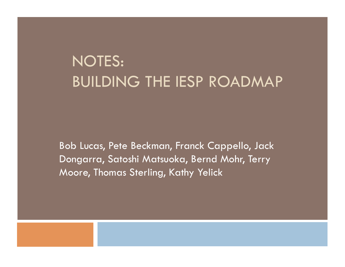## NOTES: BUILDING THE IESP ROADMAP

Bob Lucas, Pete Beckman, Franck Cappello, Jack Dongarra, Satoshi Matsuoka, Bernd Mohr, Terry Moore, Thomas Sterling, Kathy Yelick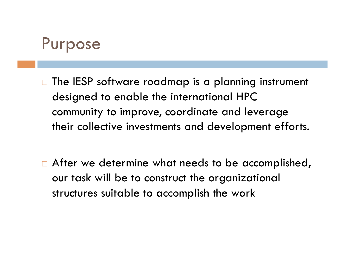### Purpose

- $\Box$  The IESP software roadmap is a planning instrument designed to enable the international HPC community to improve, coordinate and leverage their collective investments and development efforts.
- □ After we determine what needs to be accomplished, our task will be to construct the organizational structures suitable to accomplish the work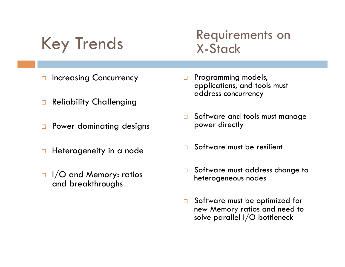Key Trends

### Requirements on X-Stack

- □ Increasing Concurrency
- Reliability Challenging
- **D** Power dominating designs
- $\Box$  Heterogeneity in a node
- $\Box$  I/O and Memory: ratios and breakthroughs
- **Programming models,** applications, and tools must address concurrency
- Software and tools must manage power directly
- □ Software must be resilient
- □ Software must address change to heterogeneous nodes
- □ Software must be optimized for new Memory ratios and need to solve parallel I/O bottleneck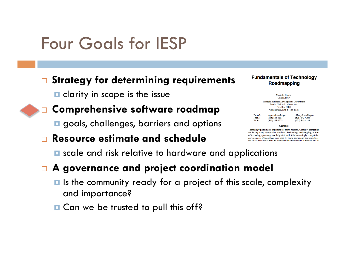# Four Goals for IESP

#### **Strategy for determining requirements**

 $\blacksquare$  clarity in scope is the issue



#### **Comprehensive software roadmap**

 $\Box$  goals, challenges, barriers and options

#### **Resource estimate and schedule**

#### **Fundamentals of Technology** Roadmapping

Marie L. Garcia Olin H. Bray **Strategic Business Development Department** Sandia National Laboratories P.O. Box 5800 Albuquerque, NM 87185-1378

mgarci@sandia.gov E-mail:  $(505) 843 - 4191$ Phone: FAX:  $(505) 843 - 4223$ 

ohbray@sandia.gov  $(505) 843 - 4205$  $(505) 843 - 4223$ 

Abstract

Technology planning is important for many reasons. Globally, companies are facing many competitive problems. Technology roadmapping, a form of technology planning, can help deal with this increasingly competitive environment. While it has been used by some companies and industries, the focus has always been on the technology roadmap as a product, not or

**E** scale and risk relative to hardware and applications

#### **A governance and project coordination model**

- $\blacksquare$  Is the community ready for a project of this scale, complexity and importance?
- **□ Can we be trusted to pull this off?**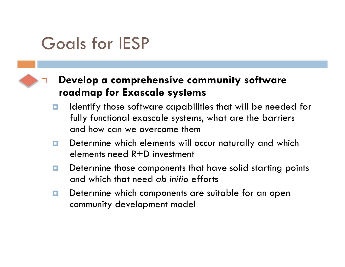# Goals for IESP

#### **Develop a comprehensive community software roadmap for Exascale systems**

- $\blacksquare$  Identify those software capabilities that will be needed for fully functional exascale systems, what are the barriers and how can we overcome them
- Determine which elements will occur naturally and which elements need R+D investment
- Determine those components that have solid starting points and which that need *ab initio* efforts
- Determine which components are suitable for an open community development model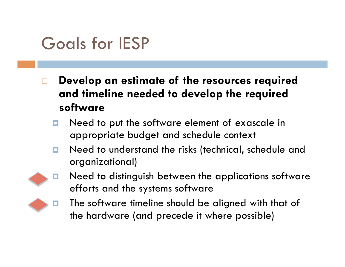# Goals for IESP

- **Develop an estimate of the resources required and timeline needed to develop the required software** 
	- $\blacksquare$  Need to put the software element of exascale in appropriate budget and schedule context
	- **n** Need to understand the risks (technical, schedule and organizational)



**E** Need to distinguish between the applications software efforts and the systems software



 The software timeline should be aligned with that of the hardware (and precede it where possible)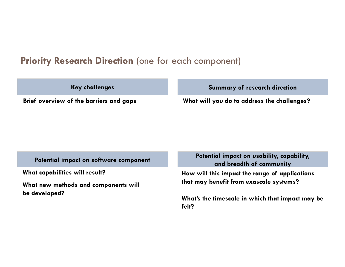#### **Priority Research Direction** (one for each component)

**Key challenges** 

**Summary of research direction** 

**Brief overview of the barriers and gaps What will you do to address the challenges?** 

**What capabilities will result?** 

**What new methods and components will be developed?** 

Potential impact on software component **Potential impact on usability, capability**, **and breadth of community** 

> **How will this impact the range of applications that may benefit from exascale systems?**

**What's the timescale in which that impact may be felt?**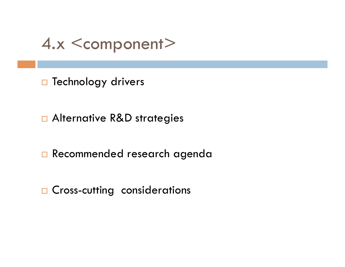4.x <component>

D Technology drivers

□ Alternative R&D strategies

Recommended research agenda

□ Cross-cutting considerations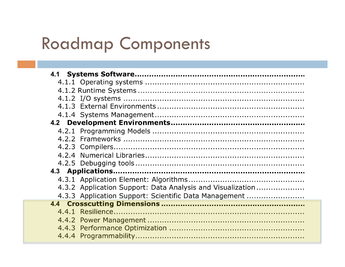# Roadmap Components

| 4.3.2 Application Support: Data Analysis and Visualization |
|------------------------------------------------------------|
| 4.3.3 Application Support: Scientific Data Management      |
|                                                            |
|                                                            |
|                                                            |
|                                                            |
|                                                            |
|                                                            |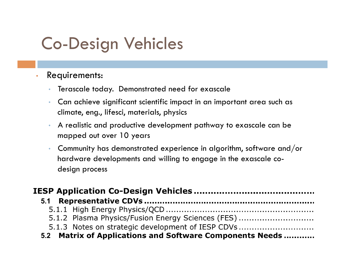# Co-Design Vehicles

#### • Requirements:

- Terascale today. Demonstrated need for exascale
- Can achieve significant scientific impact in an important area such as climate, eng., lifesci, materials, physics
- A realistic and productive development pathway to exascale can be mapped out over 10 years
- Community has demonstrated experience in algorithm, software and/or hardware developments and willing to engage in the exascale codesign process

| 5.1.2 Plasma Physics/Fusion Energy Sciences (FES)        |  |
|----------------------------------------------------------|--|
| 5.1.3 Notes on strategic development of IESP CDVs        |  |
| 5.2 Matrix of Applications and Software Components Needs |  |